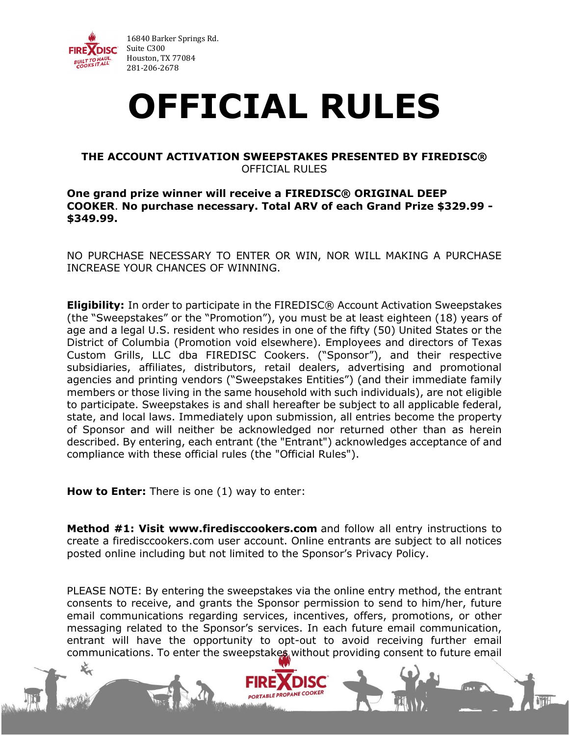

## **OFFICIAL RULES**

## **THE ACCOUNT ACTIVATION SWEEPSTAKES PRESENTED BY FIREDISC®** OFFICIAL RULES

## **One grand prize winner will receive a FIREDISC® ORIGINAL DEEP COOKER**. **No purchase necessary. Total ARV of each Grand Prize \$329.99 - \$349.99.**

NO PURCHASE NECESSARY TO ENTER OR WIN, NOR WILL MAKING A PURCHASE INCREASE YOUR CHANCES OF WINNING.

**Eligibility:** In order to participate in the FIREDISC® Account Activation Sweepstakes (the "Sweepstakes" or the "Promotion"), you must be at least eighteen (18) years of age and a legal U.S. resident who resides in one of the fifty (50) United States or the District of Columbia (Promotion void elsewhere). Employees and directors of Texas Custom Grills, LLC dba FIREDISC Cookers. ("Sponsor"), and their respective subsidiaries, affiliates, distributors, retail dealers, advertising and promotional agencies and printing vendors ("Sweepstakes Entities") (and their immediate family members or those living in the same household with such individuals), are not eligible to participate. Sweepstakes is and shall hereafter be subject to all applicable federal, state, and local laws. Immediately upon submission, all entries become the property of Sponsor and will neither be acknowledged nor returned other than as herein described. By entering, each entrant (the "Entrant") acknowledges acceptance of and compliance with these official rules (the "Official Rules").

**How to Enter:** There is one (1) way to enter:

**Method #1: Visit www.firedisccookers.com** and follow all entry instructions to create a firedisccookers.com user account. Online entrants are subject to all notices posted online including but not limited to the Sponsor's Privacy Policy.

PLEASE NOTE: By entering the sweepstakes via the online entry method, the entrant consents to receive, and grants the Sponsor permission to send to him/her, future email communications regarding services, incentives, offers, promotions, or other messaging related to the Sponsor's services. In each future email communication, entrant will have the opportunity to opt-out to avoid receiving further email communications. To enter the sweepstakes without providing consent to future email

**PORTABLE PROPAN**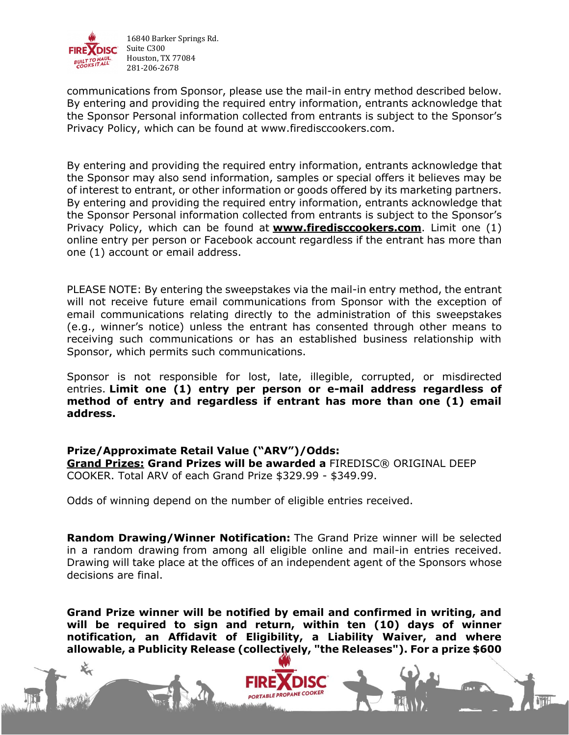

communications from Sponsor, please use the mail-in entry method described below. By entering and providing the required entry information, entrants acknowledge that the Sponsor Personal information collected from entrants is subject to the Sponsor's Privacy Policy, which can be found at www.firedisccookers.com.

By entering and providing the required entry information, entrants acknowledge that the Sponsor may also send information, samples or special offers it believes may be of interest to entrant, or other information or goods offered by its marketing partners. By entering and providing the required entry information, entrants acknowledge that the Sponsor Personal information collected from entrants is subject to the Sponsor's Privacy Policy, which can be found at **[www.firedisccookers.com](http://www.firedisccookers.com/)**. Limit one (1) online entry per person or Facebook account regardless if the entrant has more than one (1) account or email address.

PLEASE NOTE: By entering the sweepstakes via the mail-in entry method, the entrant will not receive future email communications from Sponsor with the exception of email communications relating directly to the administration of this sweepstakes (e.g., winner's notice) unless the entrant has consented through other means to receiving such communications or has an established business relationship with Sponsor, which permits such communications.

Sponsor is not responsible for lost, late, illegible, corrupted, or misdirected entries. **Limit one (1) entry per person or e-mail address regardless of method of entry and regardless if entrant has more than one (1) email address.**

## **Prize/Approximate Retail Value ("ARV")/Odds:**

**Grand Prizes: Grand Prizes will be awarded a** FIREDISC® ORIGINAL DEEP COOKER. Total ARV of each Grand Prize \$329.99 - \$349.99.

Odds of winning depend on the number of eligible entries received.

**Random Drawing/Winner Notification:** The Grand Prize winner will be selected in a random drawing from among all eligible online and mail-in entries received. Drawing will take place at the offices of an independent agent of the Sponsors whose decisions are final.

**Grand Prize winner will be notified by email and confirmed in writing, and will be required to sign and return, within ten (10) days of winner notification, an Affidavit of Eligibility, a Liability Waiver, and where allowable, a Publicity Release (collectively, "the Releases"). For a prize \$600**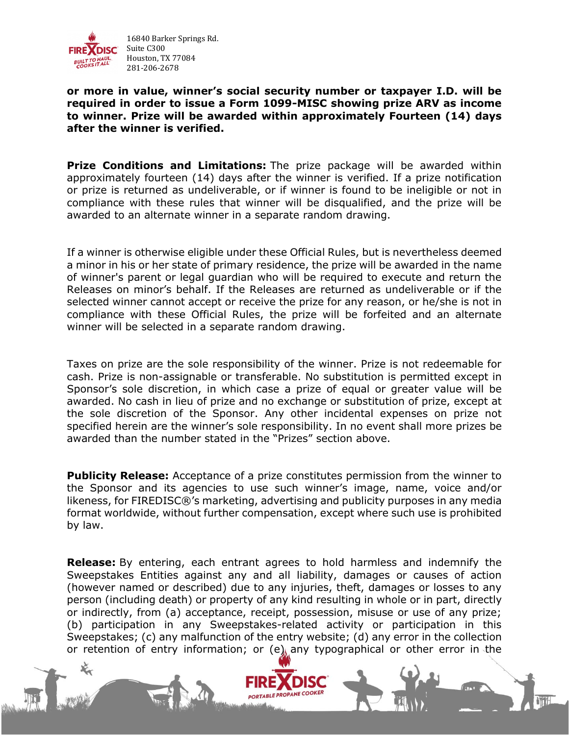

**or more in value, winner's social security number or taxpayer I.D. will be required in order to issue a Form 1099-MISC showing prize ARV as income to winner. Prize will be awarded within approximately Fourteen (14) days after the winner is verified.**

**Prize Conditions and Limitations:** The prize package will be awarded within approximately fourteen (14) days after the winner is verified. If a prize notification or prize is returned as undeliverable, or if winner is found to be ineligible or not in compliance with these rules that winner will be disqualified, and the prize will be awarded to an alternate winner in a separate random drawing.

If a winner is otherwise eligible under these Official Rules, but is nevertheless deemed a minor in his or her state of primary residence, the prize will be awarded in the name of winner's parent or legal guardian who will be required to execute and return the Releases on minor's behalf. If the Releases are returned as undeliverable or if the selected winner cannot accept or receive the prize for any reason, or he/she is not in compliance with these Official Rules, the prize will be forfeited and an alternate winner will be selected in a separate random drawing.

Taxes on prize are the sole responsibility of the winner. Prize is not redeemable for cash. Prize is non-assignable or transferable. No substitution is permitted except in Sponsor's sole discretion, in which case a prize of equal or greater value will be awarded. No cash in lieu of prize and no exchange or substitution of prize, except at the sole discretion of the Sponsor. Any other incidental expenses on prize not specified herein are the winner's sole responsibility. In no event shall more prizes be awarded than the number stated in the "Prizes" section above.

**Publicity Release:** Acceptance of a prize constitutes permission from the winner to the Sponsor and its agencies to use such winner's image, name, voice and/or likeness, for FIREDISC®'s marketing, advertising and publicity purposes in any media format worldwide, without further compensation, except where such use is prohibited by law.

**Release:** By entering, each entrant agrees to hold harmless and indemnify the Sweepstakes Entities against any and all liability, damages or causes of action (however named or described) due to any injuries, theft, damages or losses to any person (including death) or property of any kind resulting in whole or in part, directly or indirectly, from (a) acceptance, receipt, possession, misuse or use of any prize; (b) participation in any Sweepstakes-related activity or participation in this Sweepstakes; (c) any malfunction of the entry website; (d) any error in the collection or retention of entry information; or (e) any typographical or other error in the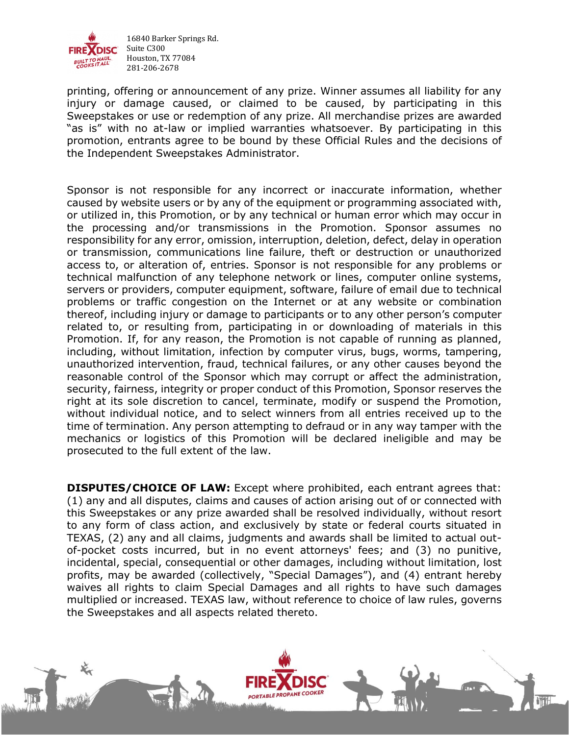

printing, offering or announcement of any prize. Winner assumes all liability for any injury or damage caused, or claimed to be caused, by participating in this Sweepstakes or use or redemption of any prize. All merchandise prizes are awarded "as is" with no at-law or implied warranties whatsoever. By participating in this promotion, entrants agree to be bound by these Official Rules and the decisions of the Independent Sweepstakes Administrator.

Sponsor is not responsible for any incorrect or inaccurate information, whether caused by website users or by any of the equipment or programming associated with, or utilized in, this Promotion, or by any technical or human error which may occur in the processing and/or transmissions in the Promotion. Sponsor assumes no responsibility for any error, omission, interruption, deletion, defect, delay in operation or transmission, communications line failure, theft or destruction or unauthorized access to, or alteration of, entries. Sponsor is not responsible for any problems or technical malfunction of any telephone network or lines, computer online systems, servers or providers, computer equipment, software, failure of email due to technical problems or traffic congestion on the Internet or at any website or combination thereof, including injury or damage to participants or to any other person's computer related to, or resulting from, participating in or downloading of materials in this Promotion. If, for any reason, the Promotion is not capable of running as planned, including, without limitation, infection by computer virus, bugs, worms, tampering, unauthorized intervention, fraud, technical failures, or any other causes beyond the reasonable control of the Sponsor which may corrupt or affect the administration, security, fairness, integrity or proper conduct of this Promotion, Sponsor reserves the right at its sole discretion to cancel, terminate, modify or suspend the Promotion, without individual notice, and to select winners from all entries received up to the time of termination. Any person attempting to defraud or in any way tamper with the mechanics or logistics of this Promotion will be declared ineligible and may be prosecuted to the full extent of the law.

**DISPUTES/CHOICE OF LAW:** Except where prohibited, each entrant agrees that: (1) any and all disputes, claims and causes of action arising out of or connected with this Sweepstakes or any prize awarded shall be resolved individually, without resort to any form of class action, and exclusively by state or federal courts situated in TEXAS, (2) any and all claims, judgments and awards shall be limited to actual outof-pocket costs incurred, but in no event attorneys' fees; and (3) no punitive, incidental, special, consequential or other damages, including without limitation, lost profits, may be awarded (collectively, "Special Damages"), and (4) entrant hereby waives all rights to claim Special Damages and all rights to have such damages multiplied or increased. TEXAS law, without reference to choice of law rules, governs the Sweepstakes and all aspects related thereto.